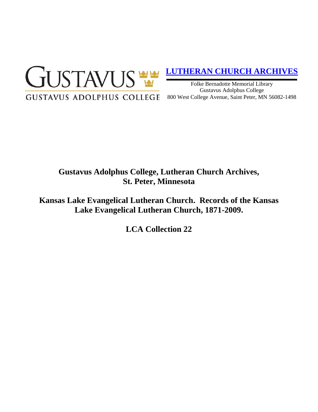

# **[LUTHERAN CHURCH ARCHIVES](http://gustavus.edu/academics/library/archives/)**

Folke Bernadotte Memorial Library Gustavus Adolphus College 800 West College Avenue, Saint Peter, MN 56082-1498

# **Gustavus Adolphus College, Lutheran Church Archives, St. Peter, Minnesota**

**Kansas Lake Evangelical Lutheran Church. Records of the Kansas Lake Evangelical Lutheran Church, 1871-2009.**

**LCA Collection 22**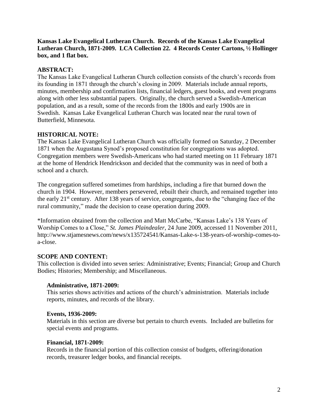**Kansas Lake Evangelical Lutheran Church. Records of the Kansas Lake Evangelical Lutheran Church, 1871-2009. LCA Collection 22. 4 Records Center Cartons, ½ Hollinger box, and 1 flat box.**

# **ABSTRACT:**

The Kansas Lake Evangelical Lutheran Church collection consists of the church's records from its founding in 1871 through the church's closing in 2009. Materials include annual reports, minutes, membership and confirmation lists, financial ledgers, guest books, and event programs along with other less substantial papers. Originally, the church served a Swedish-American population, and as a result, some of the records from the 1800s and early 1900s are in Swedish. Kansas Lake Evangelical Lutheran Church was located near the rural town of Butterfield, Minnesota.

# **HISTORICAL NOTE:**

The Kansas Lake Evangelical Lutheran Church was officially formed on Saturday, 2 December 1871 when the Augustana Synod's proposed constitution for congregations was adopted. Congregation members were Swedish-Americans who had started meeting on 11 February 1871 at the home of Hendrick Hendrickson and decided that the community was in need of both a school and a church.

The congregation suffered sometimes from hardships, including a fire that burned down the church in 1904. However, members persevered, rebuilt their church, and remained together into the early 21<sup>st</sup> century. After 138 years of service, congregants, due to the "changing face of the rural community," made the decision to cease operation during 2009.

\*Information obtained from the collection and Matt McCarbe, "Kansas Lake's 138 Years of Worship Comes to a Close," *St. James Plaindealer*, 24 June 2009, accessed 11 November 2011, http://www.stjamesnews.com/news/x135724541/Kansas-Lake-s-138-years-of-worship-comes-toa-close.

# **SCOPE AND CONTENT:**

This collection is divided into seven series: Administrative; Events; Financial; Group and Church Bodies; Histories; Membership; and Miscellaneous.

# **Administrative, 1871-2009:**

This series shows activities and actions of the church's administration. Materials include reports, minutes, and records of the library.

# **Events, 1936-2009:**

Materials in this section are diverse but pertain to church events. Included are bulletins for special events and programs.

# **Financial, 1871-2009:**

Records in the financial portion of this collection consist of budgets, offering/donation records, treasurer ledger books, and financial receipts.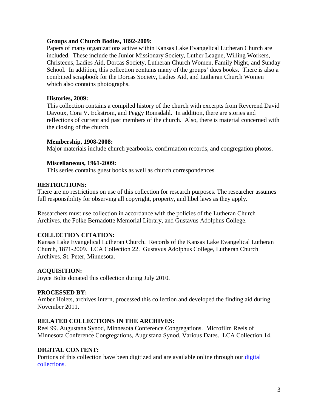## **Groups and Church Bodies, 1892-2009:**

Papers of many organizations active within Kansas Lake Evangelical Lutheran Church are included. These include the Junior Missionary Society, Luther League, Willing Workers, Christeens, Ladies Aid, Dorcas Society, Lutheran Church Women, Family Night, and Sunday School. In addition, this collection contains many of the groups' dues books. There is also a combined scrapbook for the Dorcas Society, Ladies Aid, and Lutheran Church Women which also contains photographs.

## **Histories, 2009:**

This collection contains a compiled history of the church with excerpts from Reverend David Davoux, Cora V. Eckstrom, and Peggy Romsdahl. In addition, there are stories and reflections of current and past members of the church. Also, there is material concerned with the closing of the church.

#### **Membership, 1908-2008:**

Major materials include church yearbooks, confirmation records, and congregation photos.

# **Miscellaneous, 1961-2009:**

This series contains guest books as well as church correspondences.

#### **RESTRICTIONS:**

There are no restrictions on use of this collection for research purposes. The researcher assumes full responsibility for observing all copyright, property, and libel laws as they apply.

Researchers must use collection in accordance with the policies of the Lutheran Church Archives, the Folke Bernadotte Memorial Library, and Gustavus Adolphus College.

# **COLLECTION CITATION:**

Kansas Lake Evangelical Lutheran Church. Records of the Kansas Lake Evangelical Lutheran Church, 1871-2009. LCA Collection 22. Gustavus Adolphus College, Lutheran Church Archives, St. Peter, Minnesota.

# **ACQUISITION:**

Joyce Bolte donated this collection during July 2010.

# **PROCESSED BY:**

Amber Holets, archives intern, processed this collection and developed the finding aid during November 2011.

# **RELATED COLLECTIONS IN THE ARCHIVES:**

Reel 99. Augustana Synod, Minnesota Conference Congregations. Microfilm Reels of Minnesota Conference Congregations, Augustana Synod, Various Dates. LCA Collection 14.

# **DIGITAL CONTENT:**

Portions of this collection have been digitized and are available online through our digital [collections.](https://archives.gac.edu/digital/)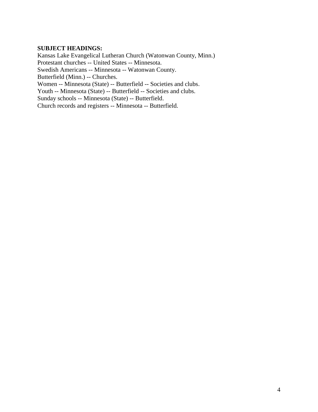# **SUBJECT HEADINGS:**

Kansas Lake Evangelical Lutheran Church (Watonwan County, Minn.) Protestant churches -- United States -- Minnesota. Swedish Americans -- Minnesota -- Watonwan County. Butterfield (Minn.) -- Churches. Women -- Minnesota (State) -- Butterfield -- Societies and clubs. Youth -- Minnesota (State) -- Butterfield -- Societies and clubs. Sunday schools -- Minnesota (State) -- Butterfield. Church records and registers -- Minnesota -- Butterfield.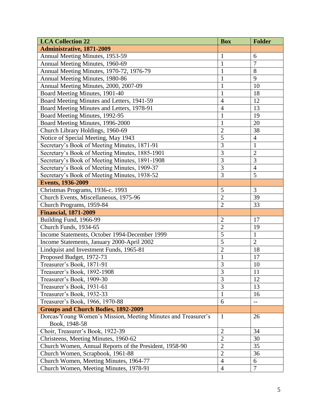| <b>LCA Collection 22</b>                                      | <b>Box</b>     | <b>Folder</b>    |
|---------------------------------------------------------------|----------------|------------------|
| <b>Administrative, 1871-2009</b>                              |                |                  |
| Annual Meeting Minutes, 1953-59                               | $\mathbf{1}$   | 6                |
| Annual Meeting Minutes, 1960-69                               | $\mathbf{1}$   | $\overline{7}$   |
| Annual Meeting Minutes, 1970-72, 1976-79                      | $\mathbf{1}$   | 8                |
| Annual Meeting Minutes, 1980-86                               | $\mathbf{1}$   | 9                |
| Annual Meeting Minutes, 2000, 2007-09                         | $\mathbf{1}$   | 10               |
| Board Meeting Minutes, 1901-40                                | $\mathbf{1}$   | 18               |
| Board Meeting Minutes and Letters, 1941-59                    | $\overline{4}$ | 12               |
| Board Meeting Minutes and Letters, 1978-91                    | $\overline{4}$ | 13               |
| Board Meeting Minutes, 1992-95                                | $\mathbf{1}$   | 19               |
| Board Meeting Minutes, 1996-2000                              | $\mathbf{1}$   | 20               |
| Church Library Holdings, 1960-69                              | $\overline{2}$ | 38               |
| Notice of Special Meeting, May 1943                           | 5              | $\overline{4}$   |
| Secretary's Book of Meeting Minutes, 1871-91                  | $\overline{3}$ | $\mathbf{1}$     |
| Secretary's Book of Meeting Minutes, 1885-1901                | 3              | $\overline{2}$   |
| Secretary's Book of Meeting Minutes, 1891-1908                | $\overline{3}$ | 3                |
| Secretary's Book of Meeting Minutes, 1909-37                  | 3              | $\overline{4}$   |
| Secretary's Book of Meeting Minutes, 1938-52                  | 3              | 5                |
| <b>Events, 1936-2009</b>                                      |                |                  |
| Christmas Programs, 1936-c. 1993                              | 5              | $\overline{3}$   |
| Church Events, Miscellaneous, 1975-96                         | $\overline{2}$ | 39               |
| Church Programs, 1959-84                                      | $\overline{2}$ | 33               |
| <b>Financial, 1871-2009</b>                                   |                |                  |
| Building Fund, 1966-99                                        | $\overline{2}$ | 17               |
| Church Funds, 1934-65                                         | $\overline{2}$ | 19               |
| Income Statements, October 1994-December 1999                 | 5              | $\mathbf{1}$     |
| Income Statements, January 2000-April 2002                    | $\overline{5}$ | $\overline{2}$   |
| Lindquist and Investment Funds, 1965-81                       | $\overline{2}$ | 18               |
| Proposed Budget, 1972-73                                      | $\mathbf{1}$   | 17               |
| Treasurer's Book, 1871-91                                     | 3              | 10               |
| Treasurer's Book, 1892-1908                                   | $\overline{3}$ | $\overline{11}$  |
| Treasurer's Book, 1909-30                                     | $\overline{3}$ | 12               |
| Treasurer's Book, 1931-61                                     | 3              | 13               |
| Treasurer's Book, 1932-33                                     | $\mathbf{1}$   | 16               |
| Treasurer's Book, 1966, 1970-88                               | 6              | $-$              |
| <b>Groups and Church Bodies, 1892-2009</b>                    |                |                  |
| Dorcas/Young Women's Mission, Meeting Minutes and Treasurer's | $\mathbf{1}$   | 26               |
| Book, 1948-58                                                 |                |                  |
| Choir, Treasurer's Book, 1922-39                              | $\overline{2}$ | 34               |
| Christeens, Meeting Minutes, 1960-62                          | $\overline{2}$ | 30               |
| Church Women, Annual Reports of the President, 1958-90        | $\overline{2}$ | 35               |
| Church Women, Scrapbook, 1961-88                              | $\mathbf{2}$   | 36               |
| Church Women, Meeting Minutes, 1964-77                        | $\overline{4}$ | 6                |
| Church Women, Meeting Minutes, 1978-91                        | $\overline{4}$ | $\boldsymbol{7}$ |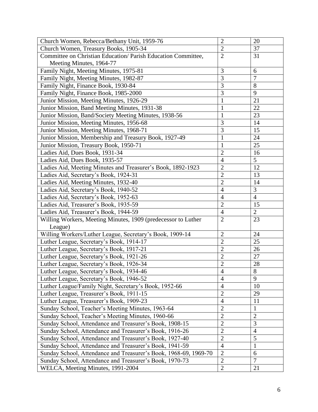| Church Women, Rebecca/Bethany Unit, 1959-76                      | $\overline{2}$ | 20             |
|------------------------------------------------------------------|----------------|----------------|
| Church Women, Treasury Books, 1905-34                            | $\overline{2}$ | 37             |
| Committee on Christian Education/ Parish Education Committee,    | $\overline{2}$ | 31             |
| Meeting Minutes, 1964-77                                         |                |                |
| Family Night, Meeting Minutes, 1975-81                           | 3              | 6              |
| Family Night, Meeting Minutes, 1982-87                           | $\overline{3}$ | $\overline{7}$ |
| Family Night, Finance Book, 1930-84                              | 3              | 8              |
| Family Night, Finance Book, 1985-2000                            | 3              | 9              |
| Junior Mission, Meeting Minutes, 1926-29                         | 1              | 21             |
| Junior Mission, Band Meeting Minutes, 1931-38                    | $\mathbf{1}$   | 22             |
| Junior Mission, Band/Society Meeting Minutes, 1938-56            | $\mathbf{1}$   | 23             |
| Junior Mission, Meeting Minutes, 1956-68                         | 3              | 14             |
| Junior Mission, Meeting Minutes, 1968-71                         | 3              | 15             |
| Junior Mission, Membership and Treasury Book, 1927-49            | $\mathbf{1}$   | 24             |
| Junior Mission, Treasury Book, 1950-71                           | $\mathbf{1}$   | 25             |
| Ladies Aid, Dues Book, 1931-34                                   | $\overline{2}$ | 16             |
| Ladies Aid, Dues Book, 1935-57                                   | $\overline{4}$ | 5              |
| Ladies Aid, Meeting Minutes and Treasurer's Book, 1892-1923      | $\overline{2}$ | 12             |
| Ladies Aid, Secretary's Book, 1924-31                            | $\overline{c}$ | 13             |
| Ladies Aid, Meeting Minutes, 1932-40                             | $\overline{2}$ | 14             |
| Ladies Aid, Secretary's Book, 1940-52                            | $\overline{4}$ | 3              |
| Ladies Aid, Secretary's Book, 1952-63                            | $\overline{4}$ | $\overline{4}$ |
| Ladies Aid, Treasurer's Book, 1935-59                            | $\overline{2}$ | 15             |
| Ladies Aid, Treasurer's Book, 1944-59                            | $\overline{4}$ | $\overline{2}$ |
| Willing Workers, Meeting Minutes, 1909 (predecessor to Luther    | $\overline{2}$ | 23             |
| League)                                                          |                |                |
| Willing Workers/Luther League, Secretary's Book, 1909-14         | $\overline{2}$ | 24             |
| Luther League, Secretary's Book, 1914-17                         | $\overline{2}$ | 25             |
| Luther League, Secretary's Book, 1917-21                         | $\overline{2}$ | 26             |
| Luther League, Secretary's Book, 1921-26                         | $\overline{2}$ | 27             |
| Luther League, Secretary's Book, 1926-34                         | $\overline{2}$ | 28             |
| Luther League, Secretary's Book, 1934-46                         | $\overline{4}$ | $8\,$          |
| Luther League, Secretary's Book, 1946-52                         | $\overline{4}$ | 9              |
| Luther League/Family Night, Secretary's Book, 1952-66            | $\overline{4}$ | 10             |
| Luther League, Treasurer's Book, 1911-15                         | $\overline{2}$ | 29             |
| Luther League, Treasurer's Book, 1909-23                         | $\overline{4}$ | 11             |
| Sunday School, Teacher's Meeting Minutes, 1963-64                | $\overline{2}$ | $\mathbf{1}$   |
| Sunday School, Teacher's Meeting Minutes, 1960-66                | $\sqrt{2}$     | $\mathfrak{2}$ |
| Sunday School, Attendance and Treasurer's Book, 1908-15          | $\overline{2}$ | 3              |
| Sunday School, Attendance and Treasurer's Book, 1916-26          | $\overline{2}$ | $\overline{4}$ |
| Sunday School, Attendance and Treasurer's Book, 1927-40          | $\overline{2}$ | 5              |
| Sunday School, Attendance and Treasurer's Book, 1941-59          | $\overline{4}$ | $\mathbf{1}$   |
| Sunday School, Attendance and Treasurer's Book, 1968-69, 1969-70 | $\overline{2}$ | 6              |
| Sunday School, Attendance and Treasurer's Book, 1970-73          | $\overline{2}$ | $\overline{7}$ |
| WELCA, Meeting Minutes, 1991-2004                                | $\sqrt{2}$     | 21             |